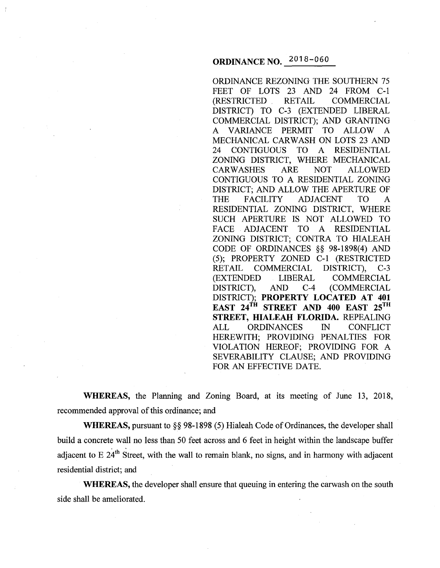# ORDINANCE NO. 2018 -060

ORDINANCE REZONING THE SOUTHERN 75 FEET OF LOTS 23 AND 24 FROM C-1<br>(RESTRICTED RETAIL COMMERCIAL COMMERCIAL DISTRICT) TO C-3 (EXTENDED LIBERAL COMMERCIAL DISTRICT); AND GRANTING A VARIANCE PERMIT TO ALLOW A MECHANICAL CARWASH ON LOTS 23 AND 24 CONTIGUOUS TO A RESIDENTIAL ZONING DISTRICT, WHERE MECHANICAL CARWASHES ARE NOT ALLOWED CONTIGUOUS TO A RESIDENTIAL ZONING DISTRICT; AND ALLOW THE APERTURE OF THE FACILITY ADJACENT TO A RESIDENTIAL ZONING DISTRICT, WHERE SUCH APERTURE IS NOT ALLOWED TO FACE ADJACENT TO A RESIDENTIAL ZONING DISTRICT; CONTRA TO HIALEAH CODE OF ORDINANCES §§ 98-1898(4) AND (5); PROPERTY ZONED C-1 (RESTRICTED RETAIL COMMERCIAL DISTRICT), C-3 (EXTENDED LIBERAL COMMERCIAL DISTRICT), AND C-4 (COMMERCIAL DISTRICT); PROPERTY LOCATED AT 401 EAST 24<sup>TH</sup> STREET AND 400 EAST 25<sup>TH</sup> STREET, HIALEAH FLORIDA. REPEALING ALL ORDINANCES IN CONFLICT HEREWITH; PROVIDING PENALTIES FOR VIOLATION HEREOF; PROVIDING FOR A SEVERABILITY CLAUSE; AND PROVIDING FOR AN EFFECTIVE DATE.

WHEREAS, the Planning and Zoning Board, at its meeting of June 13, 2018, recommended approval of this ordinance; and

WHEREAS, pursuant to §§ 98-1898 (5) Hialeah Code of Ordinances, the developer shall build a concrete wall no less than 50 feet across and 6 feet in height within the landscape buffer adjacent to E  $24<sup>th</sup>$  Street, with the wall to remain blank, no signs, and in harmony with adjacent residential district; and

WHEREAS, the developer shall ensure that queuing in entering the carwash on the south side shall be ameliorated.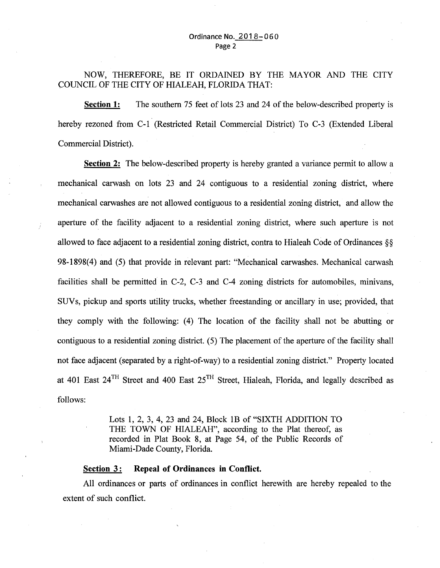## NOW, THEREFORE, BE IT ORDAINED BY THE MAYOR AND THE CITY COUNCIL OF THE CITY OF HIALEAH, FLORIDA THAT:

**Section 1:** The southern 75 feet of lots 23 and 24 of the below-described property is hereby rezoned from C-1 (Restricted Retail Commercial District) To C-3 (Extended Liberal Commercial District).

**Section 2:** The below-described property is hereby granted a variance permit to allow a mechanical carwash on lots 23 and 24 contiguous to a residential zoning district, where mechanical carwashes are not allowed contiguous to a residential zoning district, and allow the aperture of the facility adjacent to a residential zoning district, where such aperture is not allowed to face adjacent to a residential zoning district, contra to Hialeah Code of Ordinances §§ 98-1898(4) and (5) that provide in relevant part: "Mechanical carwashes. Mechanical carwash facilities shall be permitted in C-2, C-3 and C-4 zoning districts for automobiles, minivans, SUV s, pickup and sports utility trucks, whether freestanding or ancillary in use; provided, that they comply with the following: (4) The location of the facility shall not be abutting or contiguous to a residential zoning district. ( 5) The placement of the aperture of the facility shall not face adjacent (separated by a right-of-way) to a residential zoning district." Property located at 401 East  $24^{TH}$  Street and 400 East  $25^{TH}$  Street, Hialeah, Florida, and legally described as follows:

> Lots 1, 2, 3, 4, 23 and 24, Block 1B of "SIXTH ADDITION TO THE TOWN OF HIALEAH", according to the Plat thereof, as recorded in Plat Book 8, at Page 54, of the Public Records of Miami-Dade County, Florida.

### **Section 3: Repeal of Ordinances in Conflict.**

All ordinances or parts of ordinances in conflict herewith are hereby repealed to the extent of such conflict.